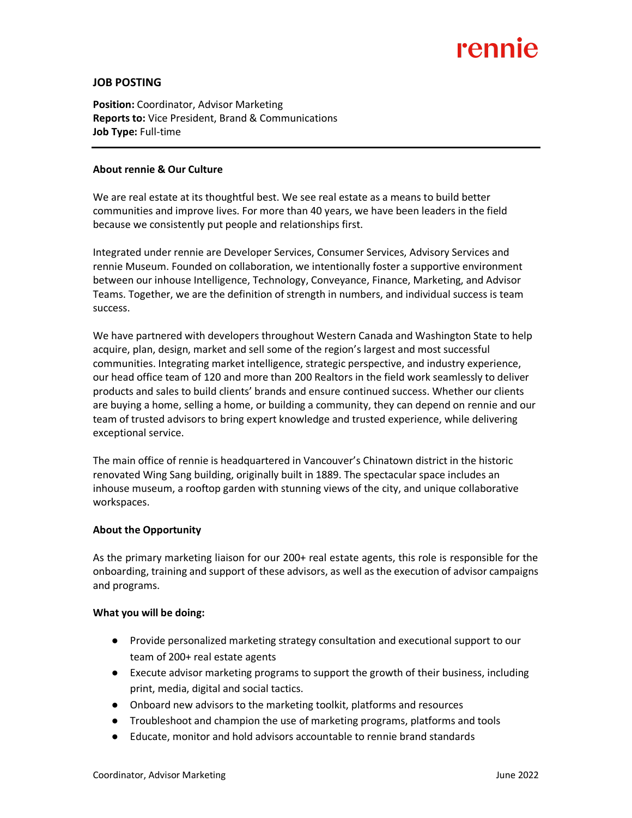# rennie

## **JOB POSTING**

**Position:** Coordinator, Advisor Marketing **Reports to:** Vice President, Brand & Communications **Job Type:** Full-time

### **About rennie & Our Culture**

We are real estate at its thoughtful best. We see real estate as a means to build better communities and improve lives. For more than 40 years, we have been leaders in the field because we consistently put people and relationships first.

Integrated under rennie are Developer Services, Consumer Services, Advisory Services and rennie Museum. Founded on collaboration, we intentionally foster a supportive environment between our inhouse Intelligence, Technology, Conveyance, Finance, Marketing, and Advisor Teams. Together, we are the definition of strength in numbers, and individual success is team success.

We have partnered with developers throughout Western Canada and Washington State to help acquire, plan, design, market and sell some of the region's largest and most successful communities. Integrating market intelligence, strategic perspective, and industry experience, our head office team of 120 and more than 200 Realtors in the field work seamlessly to deliver products and sales to build clients' brands and ensure continued success. Whether our clients are buying a home, selling a home, or building a community, they can depend on rennie and our team of trusted advisors to bring expert knowledge and trusted experience, while delivering exceptional service.

The main office of rennie is headquartered in Vancouver's Chinatown district in the historic renovated Wing Sang building, originally built in 1889. The spectacular space includes an inhouse museum, a rooftop garden with stunning views of the city, and unique collaborative workspaces.

#### **About the Opportunity**

As the primary marketing liaison for our 200+ real estate agents, this role is responsible for the onboarding, training and support of these advisors, as well as the execution of advisor campaigns and programs.

#### **What you will be doing:**

- Provide personalized marketing strategy consultation and executional support to our team of 200+ real estate agents
- Execute advisor marketing programs to support the growth of their business, including print, media, digital and social tactics.
- Onboard new advisors to the marketing toolkit, platforms and resources
- Troubleshoot and champion the use of marketing programs, platforms and tools
- Educate, monitor and hold advisors accountable to rennie brand standards